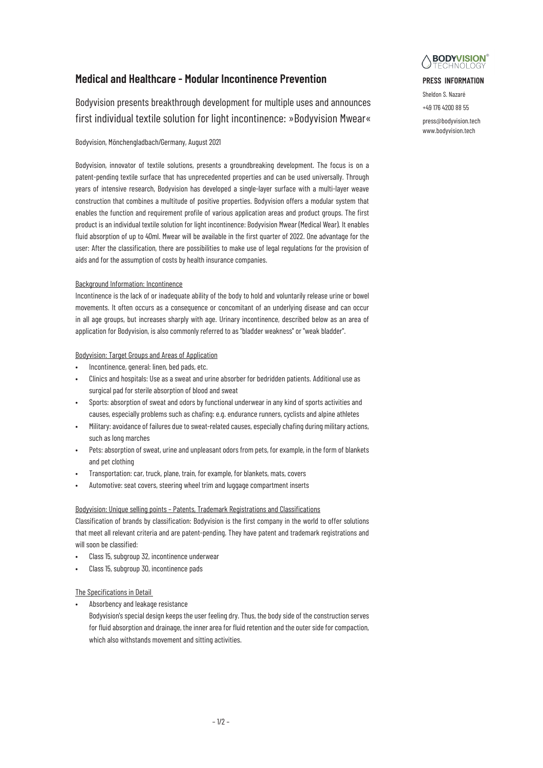# **Medical and Healthcare - Modular Incontinence Prevention**

Bodyvision presents breakthrough development for multiple uses and announces first individual textile solution for light incontinence: »Bodyvision Mwear«

# Bodyvision, Mönchengladbach/Germany, August 2021

Bodyvision, innovator of textile solutions, presents a groundbreaking development. The focus is on a patent-pending textile surface that has unprecedented properties and can be used universally. Through years of intensive research, Bodyvision has developed a single-layer surface with a multi-layer weave construction that combines a multitude of positive properties. Bodyvision offers a modular system that enables the function and requirement profile of various application areas and product groups. The first product is an individual textile solution for light incontinence: Bodyvision Mwear (Medical Wear). It enables fluid absorption of up to 40ml. Mwear will be available in the first quarter of 2022. One advantage for the user: After the classification, there are possibilities to make use of legal regulations for the provision of aids and for the assumption of costs by health insurance companies.

# Background Information: Incontinence

Incontinence is the lack of or inadequate ability of the body to hold and voluntarily release urine or bowel movements. It often occurs as a consequence or concomitant of an underlying disease and can occur in all age groups, but increases sharply with age. Urinary incontinence, described below as an area of application for Bodyvision, is also commonly referred to as "bladder weakness" or "weak bladder".

# Bodyvision: Target Groups and Areas of Application

- Incontinence, general: linen, bed pads, etc.
- Clinics and hospitals: Use as a sweat and urine absorber for bedridden patients. Additional use as surgical pad for sterile absorption of blood and sweat
- Sports: absorption of sweat and odors by functional underwear in any kind of sports activities and causes, especially problems such as chafing: e.g. endurance runners, cyclists and alpine athletes
- Military: avoidance of failures due to sweat-related causes, especially chafing during military actions, such as long marches
- Pets: absorption of sweat, urine and unpleasant odors from pets, for example, in the form of blankets and pet clothing
- Transportation: car, truck, plane, train, for example, for blankets, mats, covers
- Automotive: seat covers, steering wheel trim and luggage compartment inserts

# Bodyvision: Unique selling points – Patents, Trademark Registrations and Classifications

Classification of brands by classification: Bodyvision is the first company in the world to offer solutions that meet all relevant criteria and are patent-pending. They have patent and trademark registrations and will soon be classified:

- Class 15, subgroup 32, incontinence underwear
- Class 15, subgroup 30, incontinence pads

# The Specifications in Detail

Absorbency and leakage resistance

Bodyvision's special design keeps the user feeling dry. Thus, the body side of the construction serves for fluid absorption and drainage, the inner area for fluid retention and the outer side for compaction, which also withstands movement and sitting activities.



## **PRESS INFORMATION**

Sheldon S. Nazaré +49 176 4200 88 55

press@bodyvision.tech www.bodyvision.tech